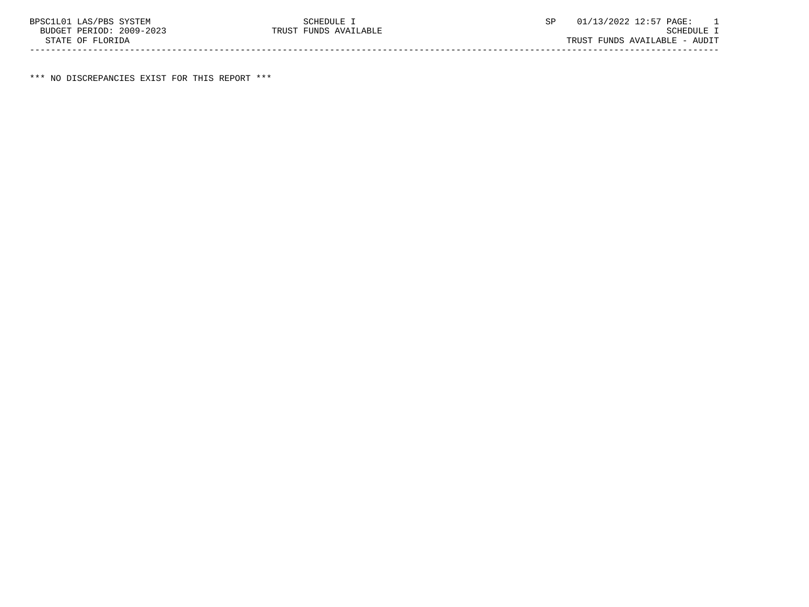\*\*\* NO DISCREPANCIES EXIST FOR THIS REPORT \*\*\*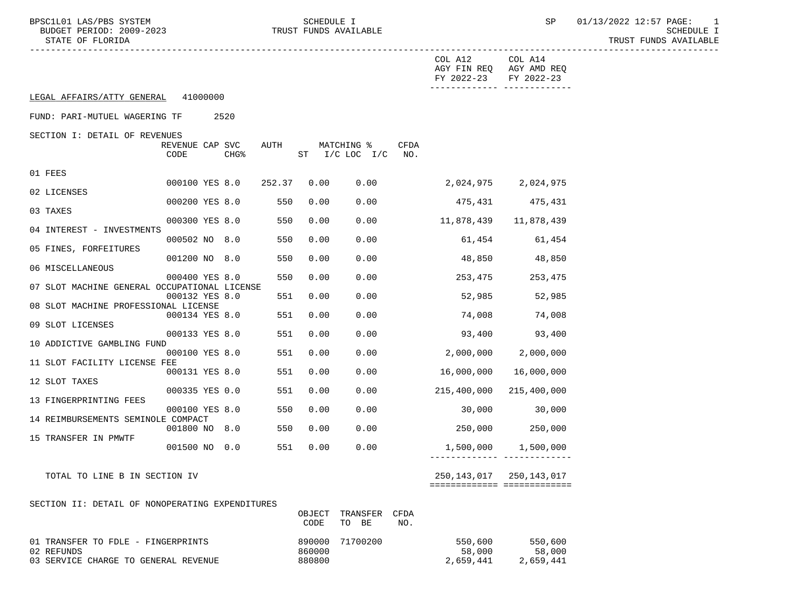BPSC1L01 LAS/PBS SYSTEM SCHEDULE I SEREDULE I SP 01/13/2022 12:57 PAGE: 1<br>BUDGET PERIOD: 2009-2023 TRUST FUNDS AVAILABLE

TRUST FUNDS AVAILABLE

|                                                    |                         |                  |        |                |                              |             | COL A12<br>FY 2022-23 | COL A14<br>AGY FIN REQ AGY AMD REQ<br>FY 2022-23<br>------------- ------------- |  |
|----------------------------------------------------|-------------------------|------------------|--------|----------------|------------------------------|-------------|-----------------------|---------------------------------------------------------------------------------|--|
| LEGAL AFFAIRS/ATTY GENERAL 41000000                |                         |                  |        |                |                              |             |                       |                                                                                 |  |
| FUND: PARI-MUTUEL WAGERING TF                      |                         | 2520             |        |                |                              |             |                       |                                                                                 |  |
| SECTION I: DETAIL OF REVENUES                      |                         |                  |        |                |                              |             |                       |                                                                                 |  |
|                                                    | REVENUE CAP SVC<br>CODE | CHG <sup>8</sup> | AUTH   |                | MATCHING %<br>ST I/C LOC I/C | CFDA<br>NO. |                       |                                                                                 |  |
| 01 FEES                                            |                         |                  |        |                |                              |             |                       |                                                                                 |  |
|                                                    | 000100 YES 8.0          |                  | 252.37 | 0.00           | 0.00                         |             |                       | 2,024,975 2,024,975                                                             |  |
| 02 LICENSES                                        | 000200 YES 8.0          |                  | 550    | 0.00           | 0.00                         |             | 475,431               | 475,431                                                                         |  |
| 03 TAXES                                           |                         |                  |        |                |                              |             |                       |                                                                                 |  |
| 04 INTEREST - INVESTMENTS                          | 000300 YES 8.0          |                  | 550    | 0.00           | 0.00                         |             | 11,878,439            | 11,878,439                                                                      |  |
| 05 FINES, FORFEITURES                              | 000502 NO 8.0           |                  | 550    | 0.00           | 0.00                         |             | 61,454                | 61,454                                                                          |  |
|                                                    | 001200 NO 8.0           |                  | 550    | 0.00           | 0.00                         |             | 48,850                | 48,850                                                                          |  |
| 06 MISCELLANEOUS                                   | 000400 YES 8.0          |                  | 550    | 0.00           | 0.00                         |             | 253,475               | 253,475                                                                         |  |
| 07 SLOT MACHINE GENERAL OCCUPATIONAL LICENSE       |                         |                  |        |                |                              |             |                       |                                                                                 |  |
| 08 SLOT MACHINE PROFESSIONAL LICENSE               | 000132 YES 8.0          |                  | 551    | 0.00           | 0.00                         |             | 52,985                | 52,985                                                                          |  |
|                                                    | 000134 YES 8.0          |                  | 551    | 0.00           | 0.00                         |             | 74,008                | 74,008                                                                          |  |
| 09 SLOT LICENSES                                   | 000133 YES 8.0          |                  | 551    | 0.00           | 0.00                         |             | 93,400                | 93,400                                                                          |  |
| 10 ADDICTIVE GAMBLING FUND                         |                         |                  |        |                |                              |             |                       |                                                                                 |  |
| 11 SLOT FACILITY LICENSE FEE                       | 000100 YES 8.0          |                  | 551    | 0.00           | 0.00                         |             | 2,000,000             | 2,000,000                                                                       |  |
|                                                    | 000131 YES 8.0          |                  | 551    | 0.00           | 0.00                         |             | 16,000,000            | 16,000,000                                                                      |  |
| 12 SLOT TAXES                                      | 000335 YES 0.0          |                  | 551    | 0.00           | 0.00                         |             | 215,400,000           | 215,400,000                                                                     |  |
| 13 FINGERPRINTING FEES                             |                         |                  |        |                |                              |             |                       |                                                                                 |  |
| 14 REIMBURSEMENTS SEMINOLE COMPACT                 | 000100 YES 8.0          |                  | 550    | 0.00           | 0.00                         |             | 30,000                | 30,000                                                                          |  |
|                                                    | 001800 NO 8.0           |                  | 550    | 0.00           | 0.00                         |             | 250,000               | 250,000                                                                         |  |
| 15 TRANSFER IN PMWTF                               | 001500 NO 0.0           |                  | 551    | 0.00           | 0.00                         |             | 1,500,000             | 1,500,000                                                                       |  |
|                                                    |                         |                  |        |                |                              |             |                       |                                                                                 |  |
| TOTAL TO LINE B IN SECTION IV                      |                         |                  |        |                |                              |             |                       | 250, 143, 017 250, 143, 017                                                     |  |
|                                                    |                         |                  |        |                |                              |             |                       | ===========================                                                     |  |
| SECTION II: DETAIL OF NONOPERATING EXPENDITURES    |                         |                  |        |                |                              |             |                       |                                                                                 |  |
|                                                    |                         |                  |        | OBJECT<br>CODE | TRANSFER<br>TO BE            | CFDA<br>NO. |                       |                                                                                 |  |
| 01 TRANSFER TO FDLE - FINGERPRINTS                 |                         |                  | 890000 | 71700200       |                              | 550,600     | 550,600               |                                                                                 |  |
|                                                    |                         |                  |        | 860000         |                              |             | 58,000                | 58,000                                                                          |  |
| 02 REFUNDS<br>03 SERVICE CHARGE TO GENERAL REVENUE |                         |                  | 880800 |                |                              | 2,659,441   | 2,659,441             |                                                                                 |  |